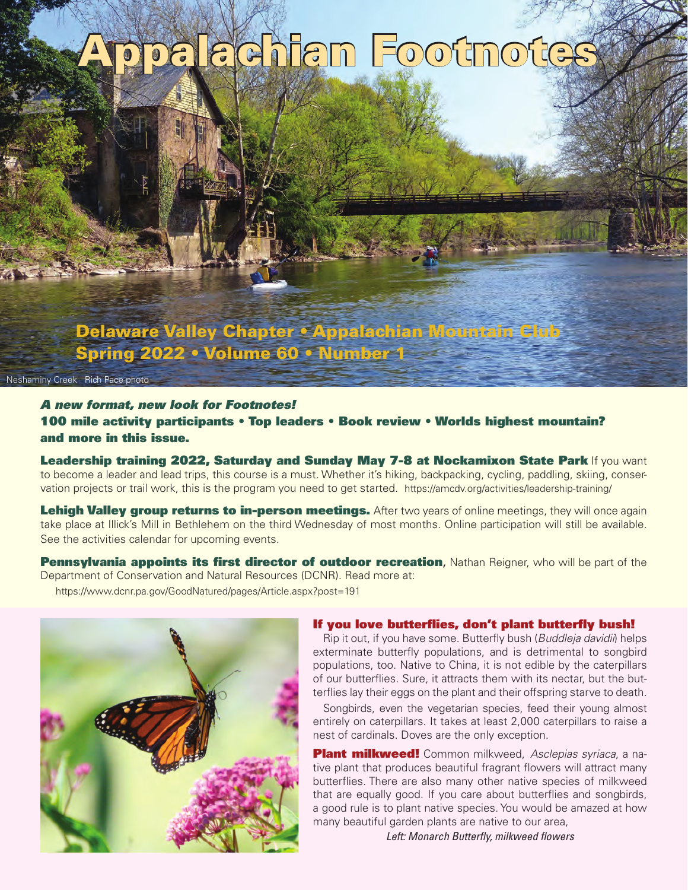# palachian Footnotes

**Delaware Valley Chapter • Appalachian Mountain C Spring 2022 • Volume 60 • Number 1**

Neshaminy Creek Rich Pace photo

A new format, new look for Footnotes! **100 mile activity participants • Top leaders • Book review • Worlds highest mountain? and more in this issue.**

**Leadership training 2022, Saturday and Sunday May 7-8 at Nockamixon State Park** If you want to become a leader and lead trips, this course is a must. Whether it's hiking, backpacking, cycling, paddling, skiing, conservation projects or trail work, this is the program you need to get started. https://amcdv.org/activities/leadership-training/

**Lehigh Valley group returns to in-person meetings.** After two years of online meetings, they will once again take place at Illick's Mill in Bethlehem on the third Wednesday of most months. Online participation will still be available. See the activities calendar for upcoming events.

Pennsylvania appoints its first director of outdoor recreation, Nathan Reigner, who will be part of the Department of Conservation and Natural Resources (DCNR). Read more at: https://www.dcnr.pa.gov/GoodNatured/pages/Article.aspx?post=191



## If you love butterflies, don't plant butterfly bush!

Rip it out, if you have some. Butterfly bush (Buddleja davidii) helps exterminate butterfly populations, and is detrimental to songbird populations, too. Native to China, it is not edible by the caterpillars of our butterflies. Sure, it attracts them with its nectar, but the butterflies lay their eggs on the plant and their offspring starve to death.

Songbirds, even the vegetarian species, feed their young almost entirely on caterpillars. It takes at least 2,000 caterpillars to raise a nest of cardinals. Doves are the only exception.

**Plant milkweed!** Common milkweed, Asclepias syriaca, a native plant that produces beautiful fragrant flowers will attract many butterflies. There are also many other native species of milkweed that are equally good. If you care about butterflies and songbirds, a good rule is to plant native species. You would be amazed at how many beautiful garden plants are native to our area,

Left: Monarch Butterfly, milkweed flowers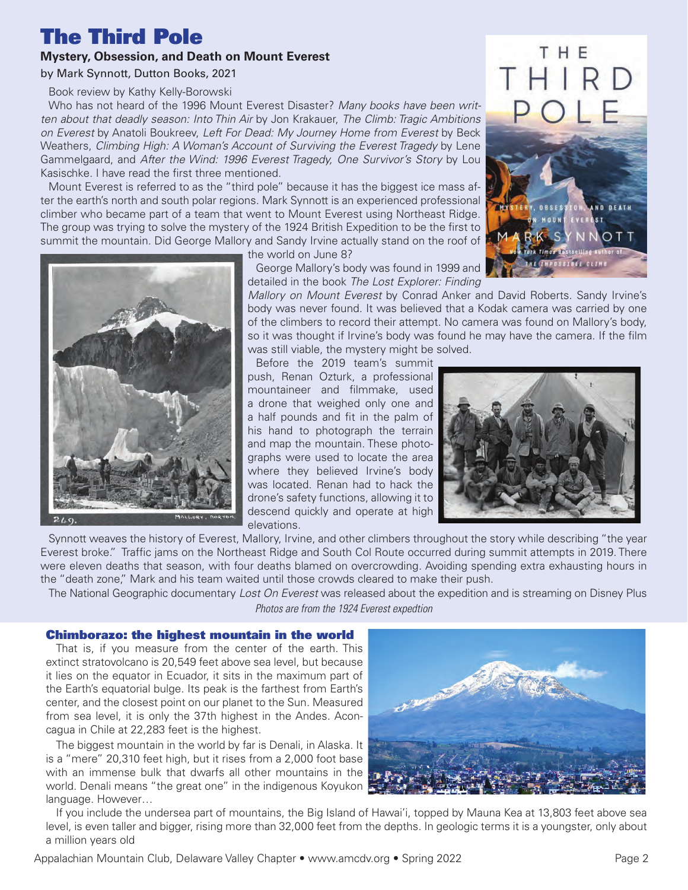# **The Third Pole**

## **Mystery, Obsession, and Death on Mount Everest**

#### by Mark Synnott, Dutton Books, 2021

Book review by Kathy Kelly-Borowski

Who has not heard of the 1996 Mount Everest Disaster? Many books have been written about that deadly season: Into Thin Air by Jon Krakauer, The Climb: Tragic Ambitions on Everest by Anatoli Boukreev, Left For Dead: My Journey Home from Everest by Beck Weathers, Climbing High: A Woman's Account of Surviving the Everest Tragedy by Lene Gammelgaard, and After the Wind: 1996 Everest Tragedy, One Survivor's Story by Lou Kasischke. I have read the first three mentioned.

Mount Everest is referred to as the "third pole" because it has the biggest ice mass after the earth's north and south polar regions. Mark Synnott is an experienced professional climber who became part of a team that went to Mount Everest using Northeast Ridge. The group was trying to solve the mystery of the 1924 British Expedition to be the first to summit the mountain. Did George Mallory and Sandy Irvine actually stand on the roof of





the world on June 8?

George Mallory's body was found in 1999 and detailed in the book The Lost Explorer: Finding

Mallory on Mount Everest by Conrad Anker and David Roberts. Sandy Irvine's body was never found. It was believed that a Kodak camera was carried by one of the climbers to record their attempt. No camera was found on Mallory's body, so it was thought if Irvine's body was found he may have the camera. If the film was still viable, the mystery might be solved.

Before the 2019 team's summit push, Renan Ozturk, a professional mountaineer and filmmake, used a drone that weighed only one and a half pounds and fit in the palm of his hand to photograph the terrain and map the mountain. These photographs were used to locate the area where they believed Irvine's body was located. Renan had to hack the drone's safety functions, allowing it to descend quickly and operate at high elevations.



Synnott weaves the history of Everest, Mallory, Irvine, and other climbers throughout the story while describing "the year Everest broke." Traffic jams on the Northeast Ridge and South Col Route occurred during summit attempts in 2019. There were eleven deaths that season, with four deaths blamed on overcrowding. Avoiding spending extra exhausting hours in the "death zone," Mark and his team waited until those crowds cleared to make their push.

The National Geographic documentary Lost On Everest was released about the expedition and is streaming on Disney Plus

Photos are from the 1924 Everest expedtion

## **Chimborazo: the highest mountain in the world**

That is, if you measure from the center of the earth. This extinct stratovolcano is 20,549 feet above sea level, but because it lies on the equator in Ecuador, it sits in the maximum part of the Earth's equatorial bulge. Its peak is the farthest from Earth's center, and the closest point on our planet to the Sun. Measured from sea level, it is only the 37th highest in the Andes. Aconcagua in Chile at 22,283 feet is the highest.

The biggest mountain in the world by far is Denali, in Alaska. It is a "mere" 20,310 feet high, but it rises from a 2,000 foot base with an immense bulk that dwarfs all other mountains in the world. Denali means "the great one" in the indigenous Koyukon language. However…



If you include the undersea part of mountains, the Big Island of Hawai'i, topped by Mauna Kea at 13,803 feet above sea level, is even taller and bigger, rising more than 32,000 feet from the depths. In geologic terms it is a youngster, only about a million years old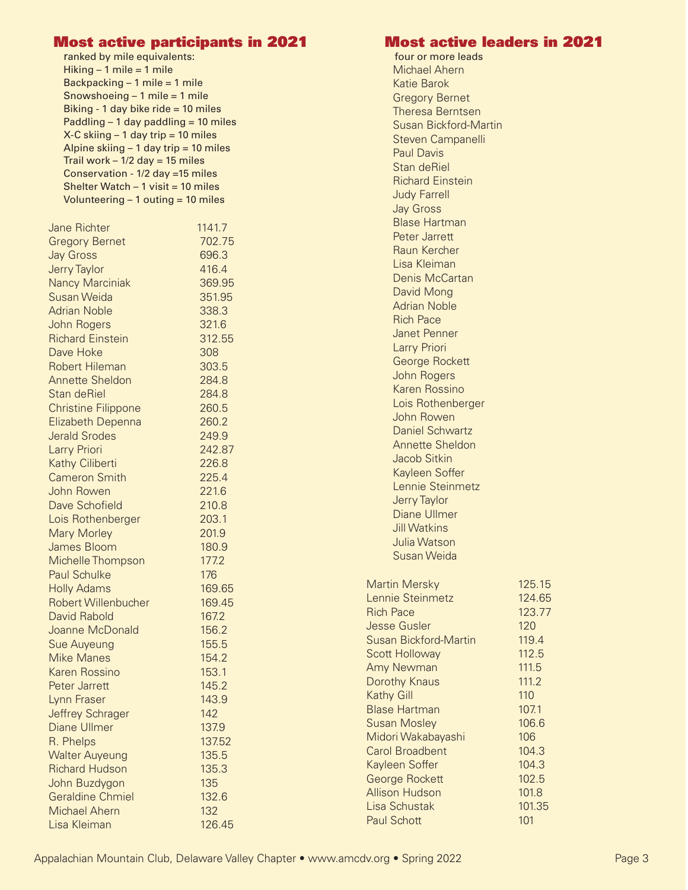| <b>Most active participants in 2021</b>                                                                                                                                                    |        |                                        |  |
|--------------------------------------------------------------------------------------------------------------------------------------------------------------------------------------------|--------|----------------------------------------|--|
| ranked by mile equivalents:                                                                                                                                                                |        |                                        |  |
| Hiking $-1$ mile = 1 mile                                                                                                                                                                  |        |                                        |  |
| Backpacking - 1 mile = 1 mile<br>Snowshoeing $-1$ mile = 1 mile<br>Biking - 1 day bike ride = 10 miles<br>Paddling $-1$ day paddling $= 10$ miles<br>$X-C$ skiing $-1$ day trip = 10 miles |        |                                        |  |
|                                                                                                                                                                                            |        | Alpine skiing $-1$ day trip = 10 miles |  |
|                                                                                                                                                                                            |        | Trail work $-1/2$ day = 15 miles       |  |
|                                                                                                                                                                                            |        | Conservation - 1/2 day =15 miles       |  |
|                                                                                                                                                                                            |        | Shelter Watch $-1$ visit = 10 miles    |  |
| Volunteering $-1$ outing = 10 miles                                                                                                                                                        |        |                                        |  |
|                                                                                                                                                                                            |        |                                        |  |
| <b>Jane Richter</b>                                                                                                                                                                        | 1141.7 |                                        |  |
| <b>Gregory Bernet</b>                                                                                                                                                                      | 702.75 |                                        |  |
| <b>Jay Gross</b>                                                                                                                                                                           | 696.3  |                                        |  |
| <b>Jerry Taylor</b>                                                                                                                                                                        | 416.4  |                                        |  |
| <b>Nancy Marciniak</b>                                                                                                                                                                     | 369.95 |                                        |  |
| Susan Weida                                                                                                                                                                                | 351.95 |                                        |  |
| <b>Adrian Noble</b>                                                                                                                                                                        | 338.3  |                                        |  |
| John Rogers                                                                                                                                                                                | 321.6  |                                        |  |
| <b>Richard Einstein</b>                                                                                                                                                                    | 312.55 |                                        |  |
| Dave Hoke                                                                                                                                                                                  | 308    |                                        |  |
| <b>Robert Hileman</b>                                                                                                                                                                      | 303.5  |                                        |  |
| <b>Annette Sheldon</b>                                                                                                                                                                     | 284.8  |                                        |  |
| Stan deRiel                                                                                                                                                                                | 284.8  |                                        |  |
| <b>Christine Filippone</b>                                                                                                                                                                 | 260.5  |                                        |  |
| Elizabeth Depenna                                                                                                                                                                          | 260.2  |                                        |  |
| <b>Jerald Srodes</b>                                                                                                                                                                       | 249.9  |                                        |  |
| Larry Priori                                                                                                                                                                               | 242.87 |                                        |  |
| Kathy Ciliberti                                                                                                                                                                            | 226.8  |                                        |  |
| <b>Cameron Smith</b>                                                                                                                                                                       | 225.4  |                                        |  |
| John Rowen                                                                                                                                                                                 | 221.6  |                                        |  |
| Dave Schofield                                                                                                                                                                             | 210.8  |                                        |  |
| Lois Rothenberger                                                                                                                                                                          | 203.1  |                                        |  |
| <b>Mary Morley</b>                                                                                                                                                                         | 201.9  |                                        |  |
| James Bloom                                                                                                                                                                                | 180.9  |                                        |  |
| Michelle Thompson                                                                                                                                                                          | 177.2  |                                        |  |
| <b>Paul Schulke</b>                                                                                                                                                                        | 176    |                                        |  |
| <b>Holly Adams</b>                                                                                                                                                                         | 169.65 |                                        |  |
| <b>Robert Willenbucher</b>                                                                                                                                                                 | 169.45 |                                        |  |
| <b>David Rabold</b>                                                                                                                                                                        | 167.2  |                                        |  |
| Joanne McDonald                                                                                                                                                                            | 156.2  |                                        |  |
| <b>Sue Auyeung</b>                                                                                                                                                                         | 155.5  |                                        |  |
| <b>Mike Manes</b>                                                                                                                                                                          | 154.2  |                                        |  |
| Karen Rossino                                                                                                                                                                              | 153.1  |                                        |  |
| Peter Jarrett                                                                                                                                                                              | 145.2  |                                        |  |
|                                                                                                                                                                                            | 143.9  |                                        |  |
| Lynn Fraser                                                                                                                                                                                | 142    |                                        |  |
| <b>Jeffrey Schrager</b>                                                                                                                                                                    |        |                                        |  |
| <b>Diane Ullmer</b>                                                                                                                                                                        | 137.9  |                                        |  |
| R. Phelps                                                                                                                                                                                  | 137.52 |                                        |  |
| <b>Walter Auyeung</b>                                                                                                                                                                      | 135.5  |                                        |  |
| <b>Richard Hudson</b>                                                                                                                                                                      | 135.3  |                                        |  |
| John Buzdygon                                                                                                                                                                              | 135    |                                        |  |
| <b>Geraldine Chmiel</b>                                                                                                                                                                    | 132.6  |                                        |  |
| <b>Michael Ahern</b>                                                                                                                                                                       | 132    |                                        |  |
| Lisa Kleiman                                                                                                                                                                               | 126.45 |                                        |  |

## **Most active leaders in 2021**

four or more leads Michael Ahern Katie Barok Gregory Bernet Theresa Berntsen Susan Bickford-Martin Steven Campanelli Paul Davis Stan deRiel Richard Einstein Judy Farrell Jay Gross Blase Hartman Peter Jarrett Raun Kercher Lisa Kleiman Denis McCartan David Mong Adrian Noble Rich Pace Janet Penner Larry Priori George Rockett John Rogers Karen Rossino Lois Rothenberger John Rowen Daniel Schwartz Annette Sheldon Jacob Sitkin Kayleen Soffer Lennie Steinmetz Jerry Taylor Diane Ullmer Jill Watkins Julia Watson Susan Weida Martin Mersky 125.15 Lennie Steinmetz 124.65 Rich Pace 123.77 **Jesse Gusler 120** Susan Bickford-Martin 119.4 Scott Holloway 112.5 Amy Newman 111.5 Dorothy Knaus 111.2 Kathy Gill **110** Blase Hartman 107.1 Susan Mosley 106.6 Midori Wakabayashi 106 Carol Broadbent 104.3 Kayleen Soffer 104.3 George Rockett 102.5 Allison Hudson 101.8 Lisa Schustak 101.35 Paul Schott 101